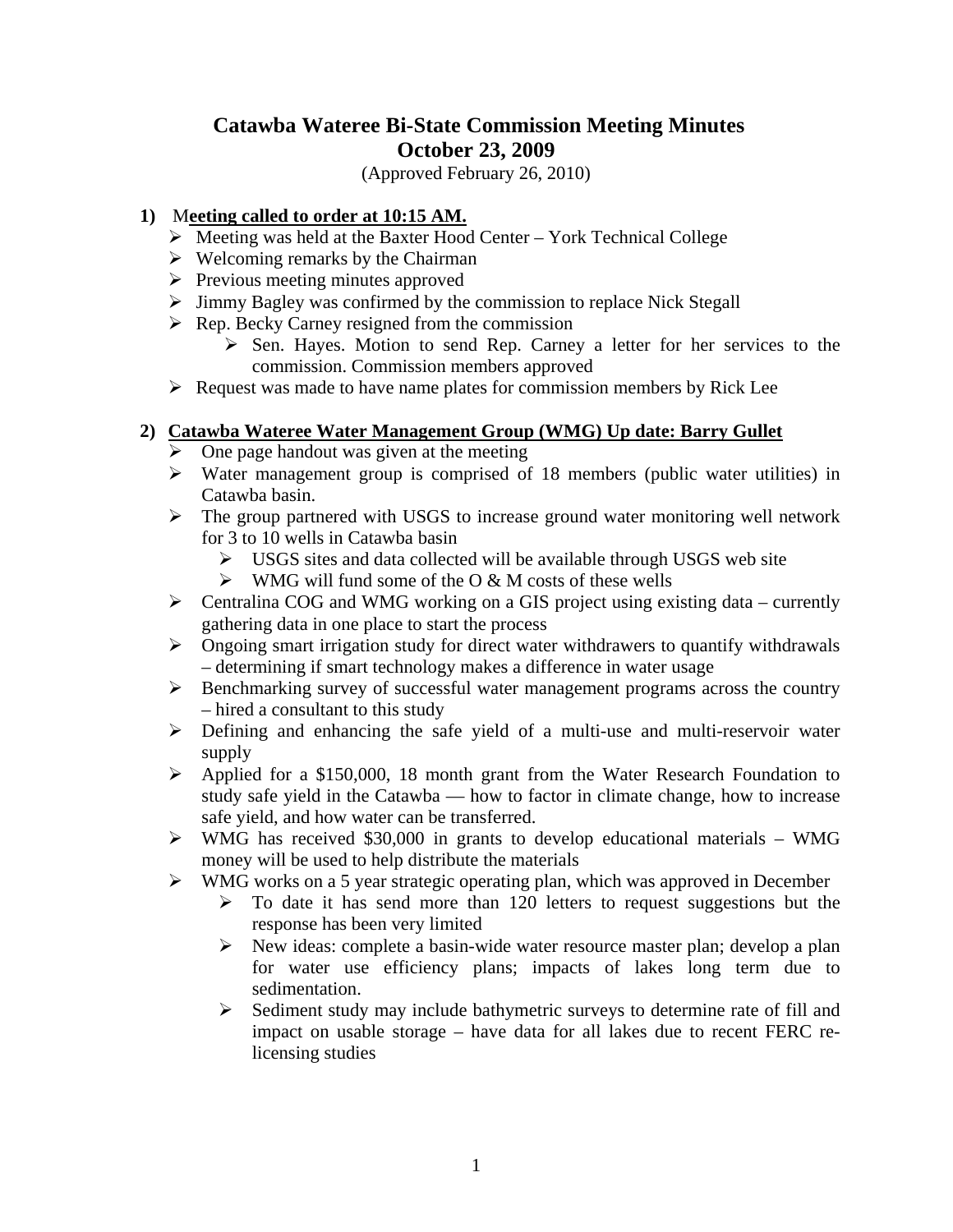# **Catawba Wateree Bi-State Commission Meeting Minutes October 23, 2009**

(Approved February 26, 2010)

### **1)** M**eeting called to order at 10:15 AM.**

- $\triangleright$  Meeting was held at the Baxter Hood Center York Technical College
- $\triangleright$  Welcoming remarks by the Chairman
- $\triangleright$  Previous meeting minutes approved
- $\triangleright$  Jimmy Bagley was confirmed by the commission to replace Nick Stegall
- $\triangleright$  Rep. Becky Carney resigned from the commission
	- $\triangleright$  Sen. Hayes. Motion to send Rep. Carney a letter for her services to the commission. Commission members approved
- $\triangleright$  Request was made to have name plates for commission members by Rick Lee

# **2) Catawba Wateree Water Management Group (WMG) Up date: Barry Gullet**

- $\triangleright$  One page handout was given at the meeting
- $\triangleright$  Water management group is comprised of 18 members (public water utilities) in Catawba basin.
- $\triangleright$  The group partnered with USGS to increase ground water monitoring well network for 3 to 10 wells in Catawba basin
	- $\triangleright$  USGS sites and data collected will be available through USGS web site
	- $\triangleright$  WMG will fund some of the O & M costs of these wells
- $\triangleright$  Centralina COG and WMG working on a GIS project using existing data currently gathering data in one place to start the process
- $\triangleright$  Ongoing smart irrigation study for direct water withdrawers to quantify withdrawals – determining if smart technology makes a difference in water usage
- ¾ Benchmarking survey of successful water management programs across the country – hired a consultant to this study
- ¾ Defining and enhancing the safe yield of a multi-use and multi-reservoir water supply
- $\triangleright$  Applied for a \$150,000, 18 month grant from the Water Research Foundation to study safe yield in the Catawba — how to factor in climate change, how to increase safe yield, and how water can be transferred.
- $\triangleright$  WMG has received \$30,000 in grants to develop educational materials WMG money will be used to help distribute the materials
- $\triangleright$  WMG works on a 5 year strategic operating plan, which was approved in December
	- $\triangleright$  To date it has send more than 120 letters to request suggestions but the response has been very limited
	- $\triangleright$  New ideas: complete a basin-wide water resource master plan; develop a plan for water use efficiency plans; impacts of lakes long term due to sedimentation.
	- ¾ Sediment study may include bathymetric surveys to determine rate of fill and impact on usable storage – have data for all lakes due to recent FERC relicensing studies